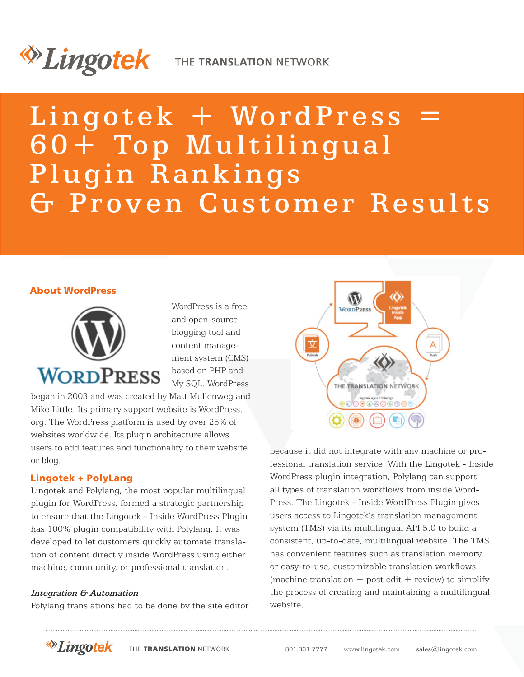# *Dingotek* | THE TRANSLATION NETWORK

Lingotek + WordPress = 60+ Top Multilingual Plugin Rankings & Proven Customer Results

# About WordPress



WordPress is a free and open-source blogging tool and content management system (CMS) based on PHP and My SQL. WordPress

began in 2003 and was created by Matt Mullenweg and Mike Little. Its primary support website is WordPress. org. The WordPress platform is used by over 25% of websites worldwide. Its plugin architecture allows users to add features and functionality to their website or blog.

# Lingotek + PolyLang

Lingotek and Polylang, the most popular multilingual plugin for WordPress, formed a strategic partnership to ensure that the Lingotek - Inside WordPress Plugin has 100% plugin compatibility with Polylang. It was developed to let customers quickly automate translation of content directly inside WordPress using either machine, community, or professional translation.

# Integration G Automation

Polylang translations had to be done by the site editor



because it did not integrate with any machine or professional translation service. With the Lingotek - Inside WordPress plugin integration, Polylang can support all types of translation workflows from inside Word-Press. The Lingotek - Inside WordPress Plugin gives users access to Lingotek's translation management system (TMS) via its multilingual API 5.0 to build a consistent, up-to-date, multilingual website. The TMS has convenient features such as translation memory or easy-to-use, customizable translation workflows (machine translation  $+$  post edit  $+$  review) to simplify the process of creating and maintaining a multilingual website.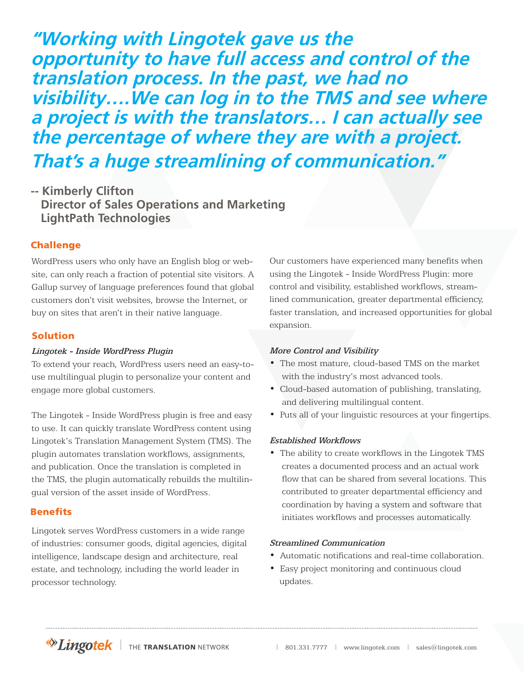**"Working with Lingotek gave us the opportunity to have full access and control of the translation process. In the past, we had no visibility….We can log in to the TMS and see where a project is with the translators… I can actually see the percentage of where they are with a project. That's a huge streamlining of communication."**

**-- Kimberly Clifton Director of Sales Operations and Marketing LightPath Technologies**

# Challenge

WordPress users who only have an English blog or website, can only reach a fraction of potential site visitors. A Gallup survey of language preferences found that global customers don't visit websites, browse the Internet, or buy on sites that aren't in their native language.

# Solution

#### Lingotek - Inside WordPress Plugin

To extend your reach, WordPress users need an easy-touse multilingual plugin to personalize your content and engage more global customers.

The Lingotek - Inside WordPress plugin is free and easy to use. It can quickly translate WordPress content using Lingotek's Translation Management System (TMS). The plugin automates translation workflows, assignments, and publication. Once the translation is completed in the TMS, the plugin automatically rebuilds the multilingual version of the asset inside of WordPress.

#### **Benefits**

Lingotek serves WordPress customers in a wide range of industries: consumer goods, digital agencies, digital intelligence, landscape design and architecture, real estate, and technology, including the world leader in processor technology.

Our customers have experienced many benefits when using the Lingotek - Inside WordPress Plugin: more control and visibility, established workflows, streamlined communication, greater departmental efficiency, faster translation, and increased opportunities for global expansion.

#### More Control and Visibility

- The most mature, cloud-based TMS on the market with the industry's most advanced tools.
- Cloud-based automation of publishing, translating, and delivering multilingual content.
- Puts all of your linguistic resources at your fingertips.

#### Established Workflows

• The ability to create workflows in the Lingotek TMS creates a documented process and an actual work flow that can be shared from several locations. This contributed to greater departmental efficiency and coordination by having a system and software that initiates workflows and processes automatically.

#### Streamlined Communication

- Automatic notifications and real-time collaboration.
- Easy project monitoring and continuous cloud updates.